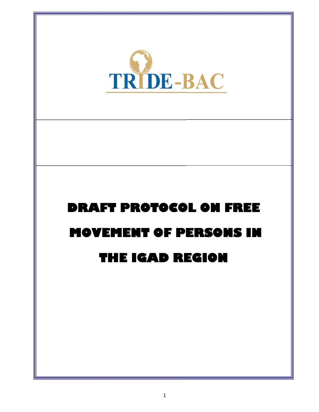

# DRAFT PROTOCOL ON FREE MOVEMENT OF PERSONS IN THE IGAD REGION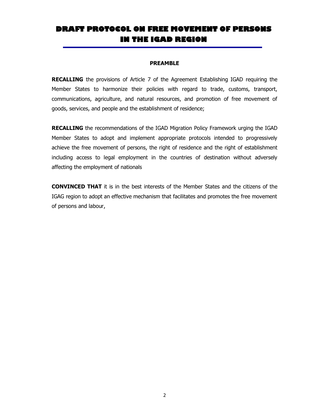# DRAFT PROTOCOL ON FREE MOVEMENT OF PERSONS IN THE IGAD REGION

#### PREAMBLE

RECALLING the provisions of Article 7 of the Agreement Establishing IGAD requiring the Member States to harmonize their policies with regard to trade, customs, transport, communications, agriculture, and natural resources, and promotion of free movement of goods, services, and people and the establishment of residence;

RECALLING the recommendations of the IGAD Migration Policy Framework urging the IGAD Member States to adopt and implement appropriate protocols intended to progressively achieve the free movement of persons, the right of residence and the right of establishment including access to legal employment in the countries of destination without adversely affecting the employment of nationals

CONVINCED THAT it is in the best interests of the Member States and the citizens of the IGAG region to adopt an effective mechanism that facilitates and promotes the free movement of persons and labour,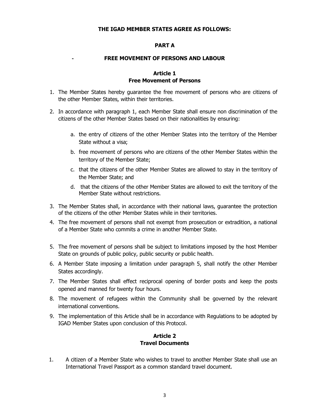#### THE IGAD MEMBER STATES AGREE AS FOLLOWS:

#### PART A

#### FREE MOVEMENT OF PERSONS AND LABOUR

# Article 1 Free Movement of Persons

- 1. The Member States hereby guarantee the free movement of persons who are citizens of the other Member States, within their territories.
- 2. In accordance with paragraph 1, each Member State shall ensure non discrimination of the citizens of the other Member States based on their nationalities by ensuring:
	- a. the entry of citizens of the other Member States into the territory of the Member State without a visa;
	- b. free movement of persons who are citizens of the other Member States within the territory of the Member State;
	- c. that the citizens of the other Member States are allowed to stay in the territory of the Member State; and
	- d. that the citizens of the other Member States are allowed to exit the territory of the Member State without restrictions.
- 3. The Member States shall, in accordance with their national laws, guarantee the protection of the citizens of the other Member States while in their territories.
- 4. The free movement of persons shall not exempt from prosecution or extradition, a national of a Member State who commits a crime in another Member State.
- 5. The free movement of persons shall be subject to limitations imposed by the host Member State on grounds of public policy, public security or public health.
- 6. A Member State imposing a limitation under paragraph 5, shall notify the other Member States accordingly.
- 7. The Member States shall effect reciprocal opening of border posts and keep the posts opened and manned for twenty four hours.
- 8. The movement of refugees within the Community shall be governed by the relevant international conventions.
- 9. The implementation of this Article shall be in accordance with Regulations to be adopted by IGAD Member States upon conclusion of this Protocol.

# Article 2 Travel Documents

1. A citizen of a Member State who wishes to travel to another Member State shall use an International Travel Passport as a common standard travel document.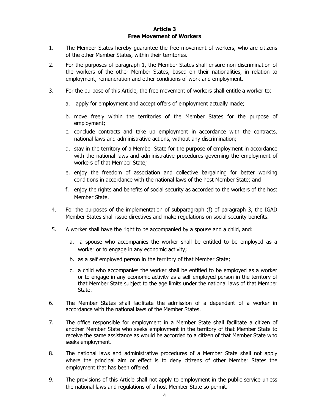#### Article 3 Free Movement of Workers

- 1. The Member States hereby guarantee the free movement of workers, who are citizens of the other Member States, within their territories.
- 2. For the purposes of paragraph 1, the Member States shall ensure non-discrimination of the workers of the other Member States, based on their nationalities, in relation to employment, remuneration and other conditions of work and employment.
- 3. For the purpose of this Article, the free movement of workers shall entitle a worker to:
	- a. apply for employment and accept offers of employment actually made;
	- b. move freely within the territories of the Member States for the purpose of employment;
	- c. conclude contracts and take up employment in accordance with the contracts, national laws and administrative actions, without any discrimination;
	- d. stay in the territory of a Member State for the purpose of employment in accordance with the national laws and administrative procedures governing the employment of workers of that Member State;
	- e. enjoy the freedom of association and collective bargaining for better working conditions in accordance with the national laws of the host Member State; and
	- f. enjoy the rights and benefits of social security as accorded to the workers of the host Member State.
- 4. For the purposes of the implementation of subparagraph (f) of paragraph 3, the IGAD Member States shall issue directives and make regulations on social security benefits.
- 5. A worker shall have the right to be accompanied by a spouse and a child, and:
	- a. a spouse who accompanies the worker shall be entitled to be employed as a worker or to engage in any economic activity;
	- b. as a self employed person in the territory of that Member State;
	- c. a child who accompanies the worker shall be entitled to be employed as a worker or to engage in any economic activity as a self employed person in the territory of that Member State subject to the age limits under the national laws of that Member State.
- 6. The Member States shall facilitate the admission of a dependant of a worker in accordance with the national laws of the Member States.
- 7. The office responsible for employment in a Member State shall facilitate a citizen of another Member State who seeks employment in the territory of that Member State to receive the same assistance as would be accorded to a citizen of that Member State who seeks employment.
- 8. The national laws and administrative procedures of a Member State shall not apply where the principal aim or effect is to deny citizens of other Member States the employment that has been offered.
- 9. The provisions of this Article shall not apply to employment in the public service unless the national laws and regulations of a host Member State so permit.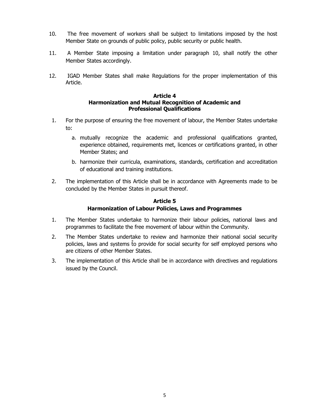- 10. The free movement of workers shall be subject to limitations imposed by the host Member State on grounds of public policy, public security or public health.
- 11. A Member State imposing a limitation under paragraph 10, shall notify the other Member States accordingly.
- 12. IGAD Member States shall make Regulations for the proper implementation of this Article.

#### Article 4 Harmonization and Mutual Recognition of Academic and Professional Qualifications

- 1. For the purpose of ensuring the free movement of labour, the Member States undertake to:
	- a. mutually recognize the academic and professional qualifications granted, experience obtained, requirements met, licences or certifications granted, in other Member States; and
	- b. harmonize their curricula, examinations, standards, certification and accreditation of educational and training institutions.
- 2. The implementation of this Article shall be in accordance with Agreements made to be concluded by the Member States in pursuit thereof.

# Article 5 Harmonization of Labour Policies, Laws and Programmes

- 1. The Member States undertake to harmonize their labour policies, national laws and programmes to facilitate the free movement of labour within the Community.
- 2. The Member States undertake to review and harmonize their national social security policies, laws and systems to provide for social security for self employed persons who are citizens of other Member States.
- 3. The implementation of this Article shall be in accordance with directives and regulations issued by the Council.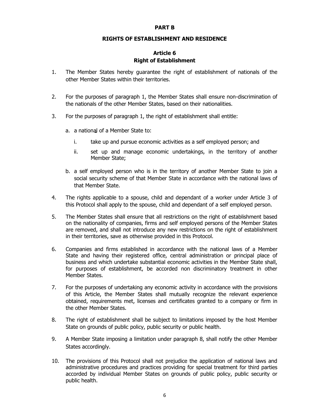#### PART B

#### RIGHTS OF ESTABLISHMENT AND RESIDENCE

# Article 6 Right of Establishment

- 1. The Member States hereby guarantee the right of establishment of nationals of the other Member States within their territories.
- 2. For the purposes of paragraph 1, the Member States shall ensure non-discrimination of the nationals of the other Member States, based on their nationalities.
- 3. For the purposes of paragraph 1, the right of establishment shall entitle:
	- a. a national of a Member State to:
		- i. take up and pursue economic activities as a self employed person; and
		- ii. set up and manage economic undertakings, in the territory of another Member State;
	- b. a self employed person who is in the territory of another Member State to join a social security scheme of that Member State in accordance with the national laws of that Member State.
- 4. The rights applicable to a spouse, child and dependant of a worker under Article 3 of this Protocol shall apply to the spouse, child and dependant of a self employed person.
- 5. The Member States shall ensure that all restrictions on the right of establishment based on the nationality of companies, firms and self employed persons of the Member States are removed, and shall not introduce any new restrictions on the right of establishment in their territories, save as otherwise provided in this Protocol.
- 6. Companies and firms established in accordance with the national laws of a Member State and having their registered office, central administration or principal place of business and which undertake substantial economic activities in the Member State shall, for purposes of establishment, be accorded non discriminatory treatment in other Member States.
- 7. For the purposes of undertaking any economic activity in accordance with the provisions of this Article, the Member States shall mutually recognize the relevant experience obtained, requirements met, licenses and certificates granted to a company or firm in the other Member States.
- 8. The right of establishment shall be subject to limitations imposed by the host Member State on grounds of public policy, public security or public health.
- 9. A Member State imposing a limitation under paragraph 8, shall notify the other Member States accordingly.
- 10. The provisions of this Protocol shall not prejudice the application of national laws and administrative procedures and practices providing for special treatment for third parties accorded by individual Member States on grounds of public policy, public security or public health.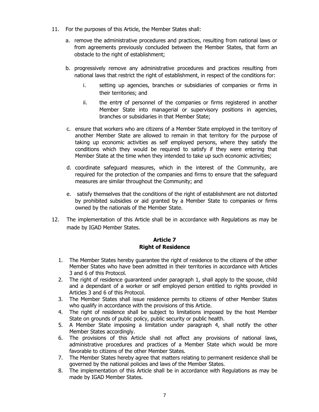- 11. For the purposes of this Article, the Member States shall:
	- a. remove the administrative procedures and practices, resulting from national laws or from agreements previously concluded between the Member States, that form an obstacle to the right of establishment;
	- b. progressively remove any administrative procedures and practices resulting from national laws that restrict the right of establishment, in respect of the conditions for:
		- i. setting up agencies, branches or subsidiaries of companies or firms in their territories; and
		- ii. the entry of personnel of the companies or firms registered in another Member State into managerial or supervisory positions in agencies, branches or subsidiaries in that Member State;
	- c. ensure that workers who are citizens of a Member State employed in the territory of another Member State are allowed to remain in that territory for the purpose of taking up economic activities as self employed persons, where they satisfy the conditions which they would be required to satisfy if they were entering that Member State at the time when they intended to take up such economic activities;
	- d. coordinate safeguard measures, which in the interest of the Community, are required for the protection of the companies and firms to ensure that the safeguard measures are similar throughout the Community; and
	- e. satisfy themselves that the conditions of the right of establishment are not distorted by prohibited subsidies or aid granted by a Member State to companies or firms owned by the nationals of the Member State.
- 12. The implementation of this Article shall be in accordance with Regulations as may be made by IGAD Member States.

# Article 7 Right of Residence

- 1. The Member States hereby guarantee the right of residence to the citizens of the other Member States who have been admitted in their territories in accordance with Articles 3 and 6 of this Protocol.
- 2. The right of residence guaranteed under paragraph 1, shall apply to the spouse, child and a dependant of a worker or self employed person entitled to rights provided in Articles 3 and 6 of this Protocol.
- 3. The Member States shall issue residence permits to citizens of other Member States who qualify in accordance with the provisions of this Article.
- 4. The right of residence shall be subject to limitations imposed by the host Member State on grounds of public policy, public security or public health.
- 5. A Member State imposing a limitation under paragraph 4, shall notify the other Member States accordingly.
- 6. The provisions of this Article shall not affect any provisions of national laws, administrative procedures and practices of a Member State which would be more favorable to citizens of the other Member States.
- 7. The Member States hereby agree that matters relating to permanent residence shall be governed by the national policies and laws of the Member States.
- 8. The implementation of this Article shall be in accordance with Regulations as may be made by IGAD Member States.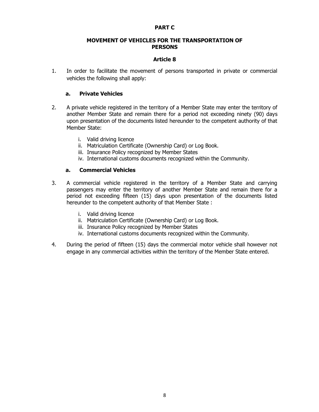#### PART C

#### MOVEMENT OF VEHICLES FOR THE TRANSPORTATION OF **PERSONS**

# Article 8

1. In order to facilitate the movement of persons transported in private or commercial vehicles the following shall apply:

# a. Private Vehicles

- 2. A private vehicle registered in the territory of a Member State may enter the territory of another Member State and remain there for a period not exceeding ninety (90) days upon presentation of the documents listed hereunder to the competent authority of that Member State:
	- i. Valid driving licence
	- ii. Matriculation Certificate (Ownership Card) or Log Book.
	- iii. Insurance Policy recognized by Member States
	- iv. International customs documents recognized within the Community.

# a. Commercial Vehicles

- 3. A commercial vehicle registered in the territory of a Member State and carrying passengers may enter the territory of another Member State and remain there for a period not exceeding fifteen (15) days upon presentation of the documents listed hereunder to the competent authority of that Member State :
	- i. Valid driving licence
	- ii. Matriculation Certificate (Ownership Card) or Log Book.
	- iii. Insurance Policy recognized by Member States
	- iv. International customs documents recognized within the Community.
- 4. During the period of fifteen (15) days the commercial motor vehicle shall however not engage in any commercial activities within the territory of the Member State entered.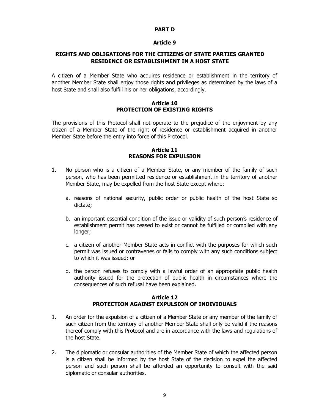#### PART D

#### Article 9

# RIGHTS AND OBLIGATIONS FOR THE CITIZENS OF STATE PARTIES GRANTED RESIDENCE OR ESTABLISHMENT IN A HOST STATE

A citizen of a Member State who acquires residence or establishment in the territory of another Member State shall enjoy those rights and privileges as determined by the laws of a host State and shall also fulfill his or her obligations, accordingly.

#### Article 10 PROTECTION OF EXISTING RIGHTS

The provisions of this Protocol shall not operate to the prejudice of the enjoyment by any citizen of a Member State of the right of residence or establishment acquired in another Member State before the entry into force of this Protocol.

#### Article 11 REASONS FOR EXPULSION

- 1. No person who is a citizen of a Member State, or any member of the family of such person, who has been permitted residence or establishment in the territory of another Member State, may be expelled from the host State except where:
	- a. reasons of national security, public order or public health of the host State so dictate;
	- b. an important essential condition of the issue or validity of such person's residence of establishment permit has ceased to exist or cannot be fulfilled or complied with any longer;
	- c. a citizen of another Member State acts in conflict with the purposes for which such permit was issued or contravenes or fails to comply with any such conditions subject to which it was issued; or
	- d. the person refuses to comply with a lawful order of an appropriate public health authority issued for the protection of public health in circumstances where the consequences of such refusal have been explained.

# Article 12 PROTECTION AGAINST EXPULSION OF INDIVIDUALS

- 1. An order for the expulsion of a citizen of a Member State or any member of the family of such citizen from the territory of another Member State shall only be valid if the reasons thereof comply with this Protocol and are in accordance with the laws and regulations of the host State.
- 2. The diplomatic or consular authorities of the Member State of which the affected person is a citizen shall be informed by the host State of the decision to expel the affected person and such person shall be afforded an opportunity to consult with the said diplomatic or consular authorities.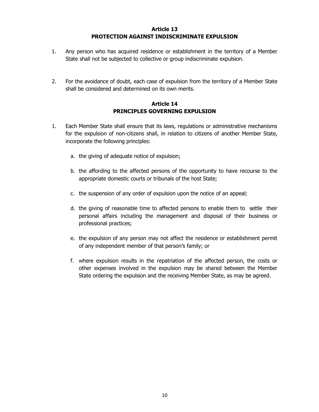# Article 13 PROTECTION AGAINST INDISCRIMINATE EXPULSION

- 1. Any person who has acquired residence or establishment in the territory of a Member State shall not be subjected to collective or group indiscriminate expulsion.
- 2. For the avoidance of doubt, each case of expulsion from the territory of a Member State shall be considered and determined on its own merits.

# Article 14 PRINCIPLES GOVERNING EXPULSION

- 1. Each Member State shall ensure that its laws, regulations or administrative mechanisms for the expulsion of non-citizens shall, in relation to citizens of another Member State, incorporate the following principles:
	- a. the giving of adequate notice of expulsion;
	- b. the affording to the affected persons of the opportunity to have recourse to the appropriate domestic courts or tribunals of the host State;
	- c. the suspension of any order of expulsion upon the notice of an appeal;
	- d. the giving of reasonable time to affected persons to enable them to settle their personal affairs including the management and disposal of their business or professional practices;
	- e. the expulsion of any person may not affect the residence or establishment permit of any independent member of that person's family; or
	- f. where expulsion results in the repatriation of the affected person, the costs or other expenses involved in the expulsion may be shared between the Member State ordering the expulsion and the receiving Member State, as may be agreed.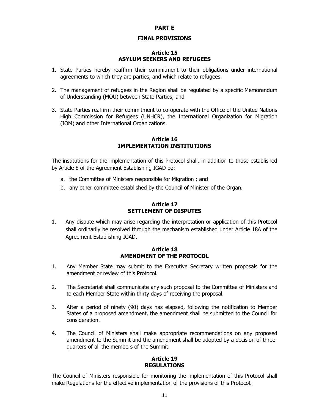#### PART E

#### FINAL PROVISIONS

#### Article 15 ASYLUM SEEKERS AND REFUGEES

- 1. State Parties hereby reaffirm their commitment to their obligations under international agreements to which they are parties, and which relate to refugees.
- 2. The management of refugees in the Region shall be regulated by a specific Memorandum of Understanding (MOU) between State Parties; and
- 3. State Parties reaffirm their commitment to co-operate with the Office of the United Nations High Commission for Refugees (UNHCR), the International Organization for Migration (IOM) and other International Organizations.

#### Article 16 IMPLEMENTATION INSTITUTIONS

The institutions for the implementation of this Protocol shall, in addition to those established by Article 8 of the Agreement Establishing IGAD be:

- a. the Committee of Ministers responsible for Migration ; and
- b. any other committee established by the Council of Minister of the Organ.

# Article 17 SETTLEMENT OF DISPUTES

1. Any dispute which may arise regarding the interpretation or application of this Protocol shall ordinarily be resolved through the mechanism established under Article 18A of the Agreement Establishing IGAD.

# Article 18 AMENDMENT OF THE PROTOCOL

- 1. Any Member State may submit to the Executive Secretary written proposals for the amendment or review of this Protocol.
- 2. The Secretariat shall communicate any such proposal to the Committee of Ministers and to each Member State within thirty days of receiving the proposal.
- 3. After a period of ninety (90) days has elapsed, following the notification to Member States of a proposed amendment, the amendment shall be submitted to the Council for consideration.
- 4. The Council of Ministers shall make appropriate recommendations on any proposed amendment to the Summit and the amendment shall be adopted by a decision of threequarters of all the members of the Summit.

#### Article 19 REGULATIONS

The Council of Ministers responsible for monitoring the implementation of this Protocol shall make Regulations for the effective implementation of the provisions of this Protocol.